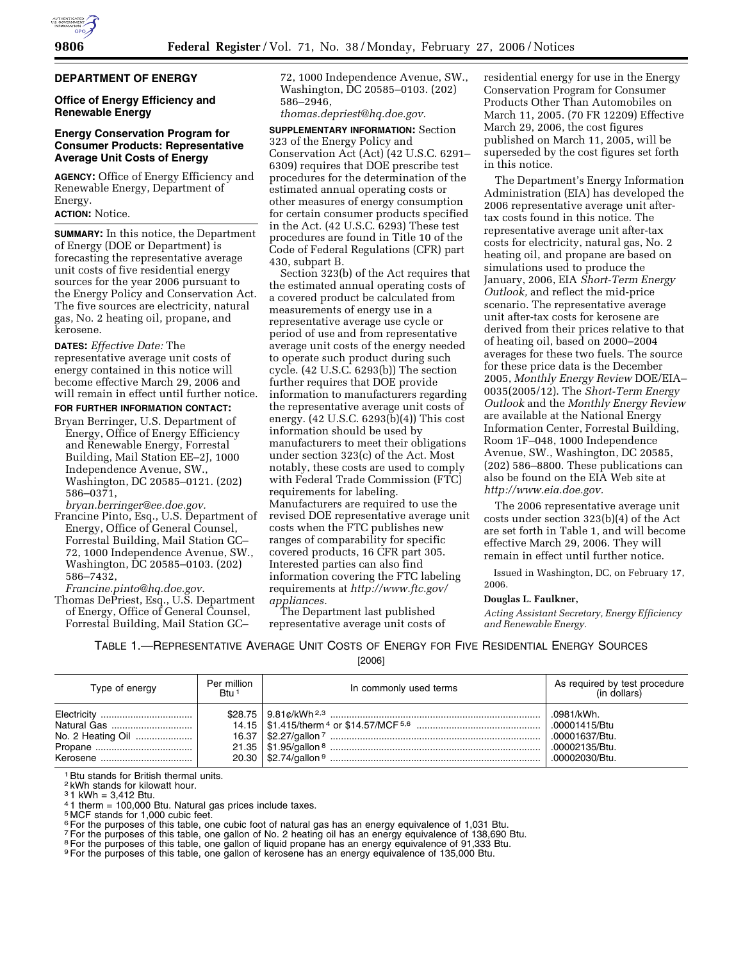# **DEPARTMENT OF ENERGY**

# **Office of Energy Efficiency and Renewable Energy**

# **Energy Conservation Program for Consumer Products: Representative Average Unit Costs of Energy**

**AGENCY:** Office of Energy Efficiency and Renewable Energy, Department of Energy.

### **ACTION:** Notice.

**SUMMARY:** In this notice, the Department of Energy (DOE or Department) is forecasting the representative average unit costs of five residential energy sources for the year 2006 pursuant to the Energy Policy and Conservation Act. The five sources are electricity, natural gas, No. 2 heating oil, propane, and kerosene.

**DATES:** *Effective Date:* The representative average unit costs of energy contained in this notice will become effective March 29, 2006 and will remain in effect until further notice.

# **FOR FURTHER INFORMATION CONTACT:**

Bryan Berringer, U.S. Department of Energy, Office of Energy Efficiency and Renewable Energy, Forrestal Building, Mail Station EE–2J, 1000 Independence Avenue, SW., Washington, DC 20585–0121. (202) 586–0371,

*bryan.berringer@ee.doe.gov.* 

Francine Pinto, Esq., U.S. Department of Energy, Office of General Counsel, Forrestal Building, Mail Station GC– 72, 1000 Independence Avenue, SW., Washington, DC 20585–0103. (202) 586–7432,

*Francine.pinto@hq.doe.gov.* 

Thomas DePriest, Esq., U.S. Department of Energy, Office of General Counsel, Forrestal Building, Mail Station GC–

72, 1000 Independence Avenue, SW., Washington, DC 20585–0103. (202) 586–2946,

*thomas.depriest@hq.doe.gov.* 

**SUPPLEMENTARY INFORMATION:** Section 323 of the Energy Policy and Conservation Act (Act) (42 U.S.C. 6291– 6309) requires that DOE prescribe test procedures for the determination of the estimated annual operating costs or other measures of energy consumption for certain consumer products specified in the Act. (42 U.S.C. 6293) These test procedures are found in Title 10 of the Code of Federal Regulations (CFR) part 430, subpart B.

Section 323(b) of the Act requires that the estimated annual operating costs of a covered product be calculated from measurements of energy use in a representative average use cycle or period of use and from representative average unit costs of the energy needed to operate such product during such cycle. (42 U.S.C. 6293(b)) The section further requires that DOE provide information to manufacturers regarding the representative average unit costs of energy. (42 U.S.C. 6293(b)(4)) This cost information should be used by manufacturers to meet their obligations under section 323(c) of the Act. Most notably, these costs are used to comply with Federal Trade Commission (FTC) requirements for labeling. Manufacturers are required to use the revised DOE representative average unit costs when the FTC publishes new ranges of comparability for specific covered products, 16 CFR part 305. Interested parties can also find information covering the FTC labeling requirements at *http://www.ftc.gov/ appliances.* 

The Department last published representative average unit costs of residential energy for use in the Energy Conservation Program for Consumer Products Other Than Automobiles on March 11, 2005. (70 FR 12209) Effective March 29, 2006, the cost figures published on March 11, 2005, will be superseded by the cost figures set forth in this notice.

The Department's Energy Information Administration (EIA) has developed the 2006 representative average unit aftertax costs found in this notice. The representative average unit after-tax costs for electricity, natural gas, No. 2 heating oil, and propane are based on simulations used to produce the January, 2006, EIA *Short-Term Energy Outlook,* and reflect the mid-price scenario. The representative average unit after-tax costs for kerosene are derived from their prices relative to that of heating oil, based on 2000–2004 averages for these two fuels. The source for these price data is the December 2005, *Monthly Energy Review* DOE/EIA– 0035(2005/12). The *Short-Term Energy Outlook* and the *Monthly Energy Review*  are available at the National Energy Information Center, Forrestal Building, Room 1F–048, 1000 Independence Avenue, SW., Washington, DC 20585, (202) 586–8800. These publications can also be found on the EIA Web site at *http://www.eia.doe.gov.* 

The 2006 representative average unit costs under section 323(b)(4) of the Act are set forth in Table 1, and will become effective March 29, 2006. They will remain in effect until further notice.

Issued in Washington, DC, on February 17, 2006.

#### **Douglas L. Faulkner,**

*Acting Assistant Secretary, Energy Efficiency and Renewable Energy.* 

TABLE 1.—REPRESENTATIVE AVERAGE UNIT COSTS OF ENERGY FOR FIVE RESIDENTIAL ENERGY SOURCES [2006]

| Type of energy    | Per million<br>Btu <sup>1</sup> | In commonly used terms | As required by test procedure<br>(in dollars) |
|-------------------|---------------------------------|------------------------|-----------------------------------------------|
| Electricity       |                                 |                        | .0981/kWh.                                    |
| Natural Gas       |                                 |                        | .00001415/Btu                                 |
| No. 2 Heating Oil |                                 |                        | .00001637/Btu.                                |
|                   |                                 |                        | .00002135/Btu.                                |
| Kerosene          |                                 |                        | .00002030/Btu.                                |

<sup>1</sup> Btu stands for British thermal units.

2 kWh stands for kilowatt hour.

 $31$  kWh = 3,412 Btu.

4 1 therm = 100,000 Btu. Natural gas prices include taxes.

5 MCF stands for 1,000 cubic feet.

<sup>6</sup> For the purposes of this table, one cubic foot of natural gas has an energy equivalence of 1,031 Btu.

7For the purposes of this table, one gallon of No. 2 heating oil has an energy equivalence of 138,690 Btu.

<sup>8</sup> For the purposes of this table, one gallon of liquid propane has an energy equivalence of 91,333 Btu.

9For the purposes of this table, one gallon of kerosene has an energy equivalence of 135,000 Btu.